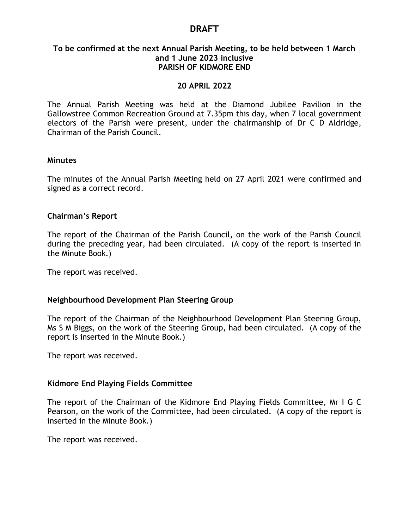# **DRAFT**

#### **To be confirmed at the next Annual Parish Meeting, to be held between 1 March and 1 June 2023 inclusive PARISH OF KIDMORE END**

#### **20 APRIL 2022**

The Annual Parish Meeting was held at the Diamond Jubilee Pavilion in the Gallowstree Common Recreation Ground at 7.35pm this day, when 7 local government electors of the Parish were present, under the chairmanship of Dr C D Aldridge, Chairman of the Parish Council.

#### **Minutes**

The minutes of the Annual Parish Meeting held on 27 April 2021 were confirmed and signed as a correct record.

#### **Chairman's Report**

The report of the Chairman of the Parish Council, on the work of the Parish Council during the preceding year, had been circulated. (A copy of the report is inserted in the Minute Book.)

The report was received.

#### **Neighbourhood Development Plan Steering Group**

The report of the Chairman of the Neighbourhood Development Plan Steering Group, Ms S M Biggs, on the work of the Steering Group, had been circulated. (A copy of the report is inserted in the Minute Book.)

The report was received.

#### **Kidmore End Playing Fields Committee**

The report of the Chairman of the Kidmore End Playing Fields Committee, Mr I G C Pearson, on the work of the Committee, had been circulated. (A copy of the report is inserted in the Minute Book.)

The report was received.